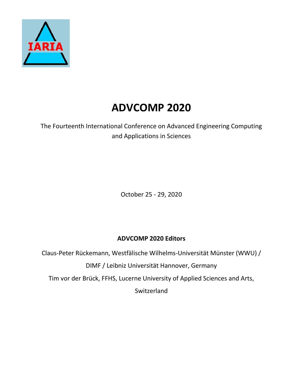

## **ADVCOMP 2020**

The Fourteenth International Conference on Advanced Engineering Computing and Applications in Sciences

October 25 - 29, 2020

## **ADVCOMP 2020 Editors**

Claus-Peter Rückemann, Westfälische Wilhelms-Universität Münster (WWU) /

DIMF / Leibniz Universität Hannover, Germany

Tim vor der Brück, FFHS, Lucerne University of Applied Sciences and Arts,

**Switzerland**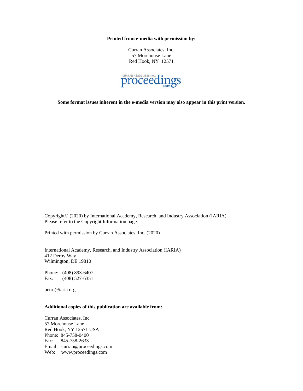**Printed from e-media with permission by:**

Curran Associates, Inc. 57 Morehouse Lane Red Hook, NY 12571



**Some format issues inherent in the e-media version may also appear in this print version.**

Copyright© (2020) by International Academy, Research, and Industry Association (IARIA) Please refer to the Copyright Information page.

Printed with permission by Curran Associates, Inc. (2020)

International Academy, Research, and Industry Association (IARIA) 412 Derby Way Wilmington, DE 19810

Phone: (408) 893-6407 Fax: (408) 527-6351

petre@iaria.org

## **Additional copies of this publication are available from:**

Curran Associates, Inc. 57 Morehouse Lane Red Hook, NY 12571 USA Phone: 845-758-0400 Fax: 845-758-2633 Email: curran@proceedings.com Web: www.proceedings.com